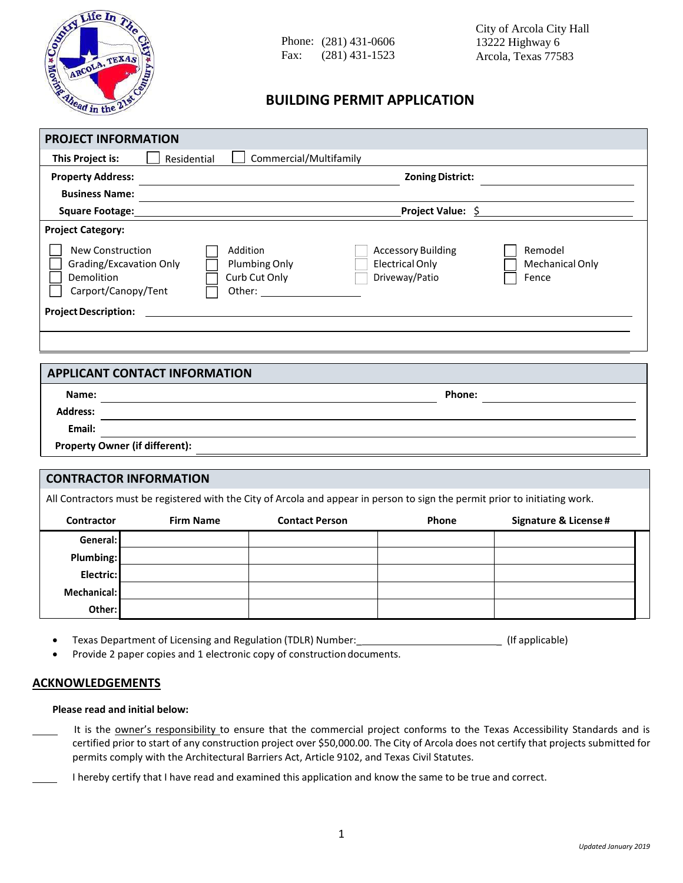

Phone: (281) 431-0606 13222 Highway 6 Fax: (281) 431-1523 Arcola, Texas 77583

# **BUILDING PERMIT APPLICATION**

| Residential                                          |                                                                       |                                     |
|------------------------------------------------------|-----------------------------------------------------------------------|-------------------------------------|
|                                                      | <b>Zoning District:</b>                                               |                                     |
|                                                      |                                                                       |                                     |
|                                                      | <b>Project Value: \$</b>                                              |                                     |
| Addition<br>Plumbing Only<br>Curb Cut Only<br>Other: | <b>Accessory Building</b><br><b>Electrical Only</b><br>Driveway/Patio | Remodel<br>Mechanical Only<br>Fence |
|                                                      |                                                                       | Commercial/Multifamily              |

### **APPLICANT CONTACT INFORMATION**

| Name:           | <b>Phone:</b>                         |
|-----------------|---------------------------------------|
| <b>Address:</b> |                                       |
| Email:          |                                       |
|                 | <b>Property Owner (if different):</b> |

### **CONTRACTOR INFORMATION**

All Contractors must be registered with the City of Arcola and appear in person to sign the permit prior to initiating work.

| <b>Contractor</b> | <b>Firm Name</b> | <b>Contact Person</b> | Phone | <b>Signature &amp; License #</b> |
|-------------------|------------------|-----------------------|-------|----------------------------------|
| General:          |                  |                       |       |                                  |
| Plumbing:         |                  |                       |       |                                  |
| Electric:         |                  |                       |       |                                  |
| Mechanical:       |                  |                       |       |                                  |
| Other:            |                  |                       |       |                                  |

- Texas Department of Licensing and Regulation (TDLR) Number:\_\_\_\_\_\_\_\_\_\_\_\_\_\_\_\_\_\_\_\_\_\_\_\_\_\_\_\_\_\_\_(If applicable)
- Provide 2 paper copies and 1 electronic copy of construction documents.

### **ACKNOWLEDGEMENTS**

#### **Please read and initial below:**

- It is the owner's responsibility to ensure that the commercial project conforms to the Texas Accessibility Standards and is certified prior to start of any construction project over \$50,000.00. The City of Arcola does not certify that projects submitted for permits comply with the Architectural Barriers Act, Article 9102, and Texas Civil Statutes.
	- I hereby certify that I have read and examined this application and know the same to be true and correct.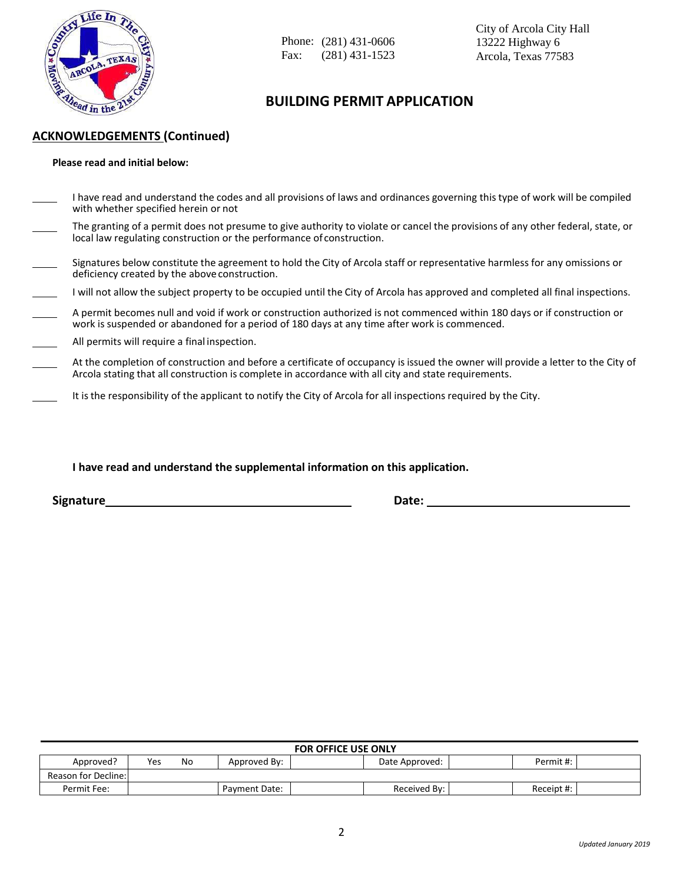

Phone: (281) 431-0606 13222 Highway 6<br>Fax: (281) 431-1523 Arcola, Texas 775

City of Arcola City Hall Arcola, Texas 77583

# **BUILDING PERMIT APPLICATION**

## **ACKNOWLEDGEMENTS (Continued)**

#### **Please read and initial below:**

| I have read and understand the codes and all provisions of laws and ordinances governing this type of work will be compiled<br>with whether specified herein or not                                                                      |
|------------------------------------------------------------------------------------------------------------------------------------------------------------------------------------------------------------------------------------------|
| The granting of a permit does not presume to give authority to violate or cancel the provisions of any other federal, state, or<br>local law regulating construction or the performance of construction.                                 |
| Signatures below constitute the agreement to hold the City of Arcola staff or representative harmless for any omissions or<br>deficiency created by the above construction.                                                              |
| I will not allow the subject property to be occupied until the City of Arcola has approved and completed all final inspections.                                                                                                          |
| A permit becomes null and void if work or construction authorized is not commenced within 180 days or if construction or<br>work is suspended or abandoned for a period of 180 days at any time after work is commenced.                 |
| All permits will require a final inspection.                                                                                                                                                                                             |
| At the completion of construction and before a certificate of occupancy is issued the owner will provide a letter to the City of<br>Arcola stating that all construction is complete in accordance with all city and state requirements. |
| It is the responsibility of the applicant to notify the City of Arcola for all inspections required by the City.                                                                                                                         |
|                                                                                                                                                                                                                                          |

## **I have read and understand the supplemental information on this application.**

**Signature Date:**

| <b>FOR OFFICE USE ONLY</b>                                 |     |    |              |  |                |  |           |  |
|------------------------------------------------------------|-----|----|--------------|--|----------------|--|-----------|--|
| Approved?                                                  | Yes | No | Approved By: |  | Date Approved: |  | Permit #: |  |
| <b>Reason for Decline:</b>                                 |     |    |              |  |                |  |           |  |
| Received By:<br>Permit Fee:<br>Receipt #:<br>Payment Date: |     |    |              |  |                |  |           |  |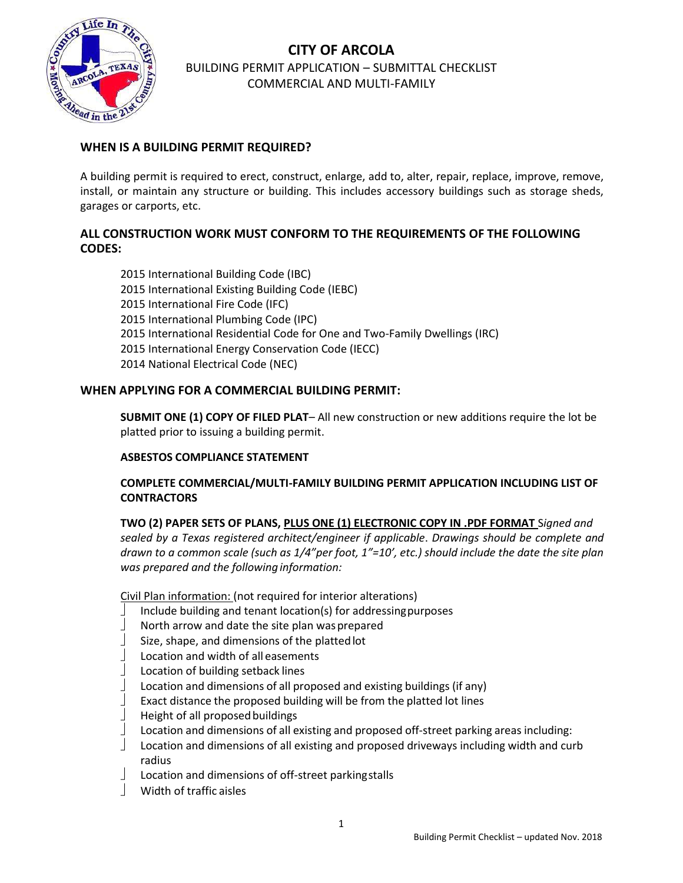

## **CITY OF ARCOLA** BUILDING PERMIT APPLICATION – SUBMITTAL CHECKLIST COMMERCIAL AND MULTI-FAMILY

# **WHEN IS A BUILDING PERMIT REQUIRED?**

A building permit is required to erect, construct, enlarge, add to, alter, repair, replace, improve, remove, install, or maintain any structure or building. This includes accessory buildings such as storage sheds, garages or carports, etc.

## **ALL CONSTRUCTION WORK MUST CONFORM TO THE REQUIREMENTS OF THE FOLLOWING CODES:**

2015 International Building Code (IBC) 2015 International Existing Building Code (IEBC) 2015 International Fire Code (IFC) 2015 International Plumbing Code (IPC) 2015 International Residential Code for One and Two-Family Dwellings (IRC) 2015 International Energy Conservation Code (IECC) 2014 National Electrical Code (NEC)

## **WHEN APPLYING FOR A COMMERCIAL BUILDING PERMIT:**

**SUBMIT ONE (1) COPY OF FILED PLAT**– All new construction or new additions require the lot be platted prior to issuing a building permit.

### **ASBESTOS COMPLIANCE STATEMENT**

## **COMPLETE COMMERCIAL/MULTI-FAMILY BUILDING PERMIT APPLICATION INCLUDING LIST OF CONTRACTORS**

**TWO (2) PAPER SETS OF PLANS, PLUS ONE (1) ELECTRONIC COPY IN .PDF FORMAT** S*igned and sealed by a Texas registered architect/engineer if applicable*. *Drawings should be complete and drawn to a common scale (such as 1/4"per foot, 1"=10', etc.) should include the date the site plan was prepared and the following information:*

Civil Plan information: (not required for interior alterations)

- Include building and tenant location(s) for addressing purposes
- $\Box$  North arrow and date the site plan was prepared
- Size, shape, and dimensions of the platted lot
- Location and width of all easements
- Location of building setback lines
- $\Box$  Location and dimensions of all proposed and existing buildings (if any)
- Exact distance the proposed building will be from the platted lot lines
- $\Box$  Height of all proposed buildings
- Location and dimensions of all existing and proposed off-street parking areas including:
- Location and dimensions of all existing and proposed driveways including width and curb radius
- Location and dimensions of off-street parkingstalls
- Width of traffic aisles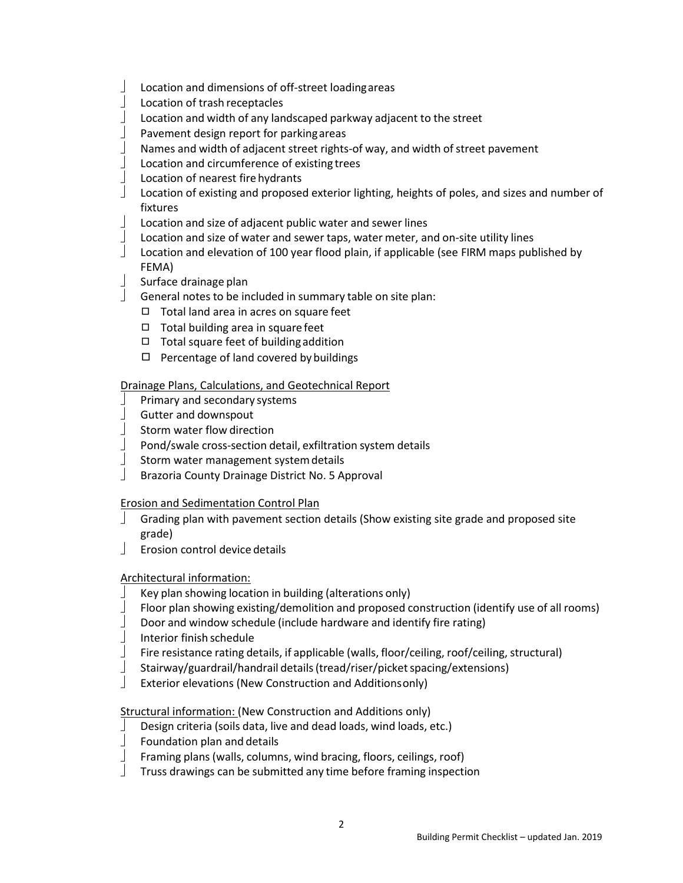- Location and dimensions of off-street loadingareas
- Location of trash receptacles
- Location and width of any landscaped parkway adjacent to the street
- Pavement design report for parkingareas
- Names and width of adjacent street rights-of way, and width of street pavement
- Location and circumference of existing trees
- $\Box$  Location of nearest fire hydrants
- Location of existing and proposed exterior lighting, heights of poles, and sizes and number of fixtures
- Location and size of adjacent public water and sewer lines
- $\Box$  Location and size of water and sewer taps, water meter, and on-site utility lines
- Location and elevation of 100 year flood plain, if applicable (see FIRM maps published by FEMA)
- $\Box$  Surface drainage plan
- $\Box$  General notes to be included in summary table on site plan:
	- ◻ Total land area in acres on square feet
	- ◻ Total building area in square feet
	- ◻ Total square feet of building addition
	- $\Box$  Percentage of land covered by buildings

### Drainage Plans, Calculations, and Geotechnical Report

- Primary and secondary systems
- Gutter and downspout
- Storm water flow direction
- Pond/swale cross-section detail, exfiltration system details
- Storm water management system details
- Brazoria County Drainage District No. 5 Approval

### Erosion and Sedimentation Control Plan

- $\Box$  Grading plan with pavement section details (Show existing site grade and proposed site grade)
- Erosion control device details

### Architectural information:

- Key plan showing location in building (alterations only)
- Floor plan showing existing/demolition and proposed construction (identify use of all rooms)
- $\Box$  Door and window schedule (include hardware and identify fire rating)
- Interior finish schedule
- Fire resistance rating details, if applicable (walls, floor/ceiling, roof/ceiling, structural)
- Stairway/guardrail/handrail details (tread/riser/picket spacing/extensions)
- Exterior elevations (New Construction and Additionsonly)

Structural information: (New Construction and Additions only)

- Design criteria (soils data, live and dead loads, wind loads, etc.)
- Foundation plan and details
- Framing plans (walls, columns, wind bracing, floors, ceilings, roof)
- Truss drawings can be submitted any time before framing inspection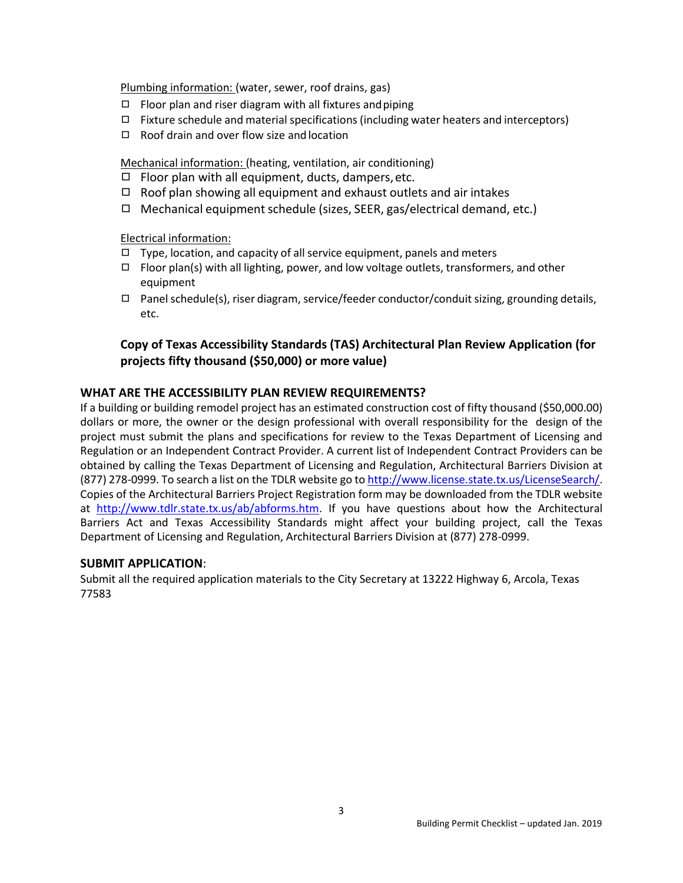Plumbing information: (water, sewer, roof drains, gas)

- $\Box$  Floor plan and riser diagram with all fixtures and piping
- $\Box$  Fixture schedule and material specifications (including water heaters and interceptors)
- ◻ Roof drain and over flow size andlocation

Mechanical information: (heating, ventilation, air conditioning)

- $\Box$  Floor plan with all equipment, ducts, dampers, etc.
- $\Box$  Roof plan showing all equipment and exhaust outlets and air intakes
- ◻ Mechanical equipmentschedule (sizes, SEER, gas/electrical demand, etc.)

Electrical information:

- $\Box$  Type, location, and capacity of all service equipment, panels and meters
- $\Box$  Floor plan(s) with all lighting, power, and low voltage outlets, transformers, and other equipment
- $\Box$  Panel schedule(s), riser diagram, service/feeder conductor/conduit sizing, grounding details, etc.

# **Copy of Texas Accessibility Standards (TAS) Architectural Plan Review Application (for projects fifty thousand (\$50,000) or more value)**

## **WHAT ARE THE ACCESSIBILITY PLAN REVIEW REQUIREMENTS?**

If a building or building remodel project has an estimated construction cost of fifty thousand (\$50,000.00) dollars or more, the owner or the design professional with overall responsibility for the design of the project must submit the plans and specifications for review to the Texas Department of Licensing and Regulation or an Independent Contract Provider. A current list of Independent Contract Providers can be obtained by calling the Texas Department of Licensing and Regulation, Architectural Barriers Division at (877) 278-0999. To search a list on the TDLR website go t[o http://www.license.state.tx.us/LicenseSearch/.](http://www.license.state.tx.us/LicenseSearch/) Copies of the Architectural Barriers Project Registration form may be downloaded from the TDLR website at [http://www.tdlr.state.tx.us/ab/abforms.htm.](http://www.tdlr.state.tx.us/ab/abforms.htm) If you have questions about how the Architectural Barriers Act and Texas Accessibility Standards might affect your building project, call the Texas Department of Licensing and Regulation, Architectural Barriers Division at (877) 278-0999.

### **SUBMIT APPLICATION**:

Submit all the required application materials to the City Secretary at 13222 Highway 6, Arcola, Texas 77583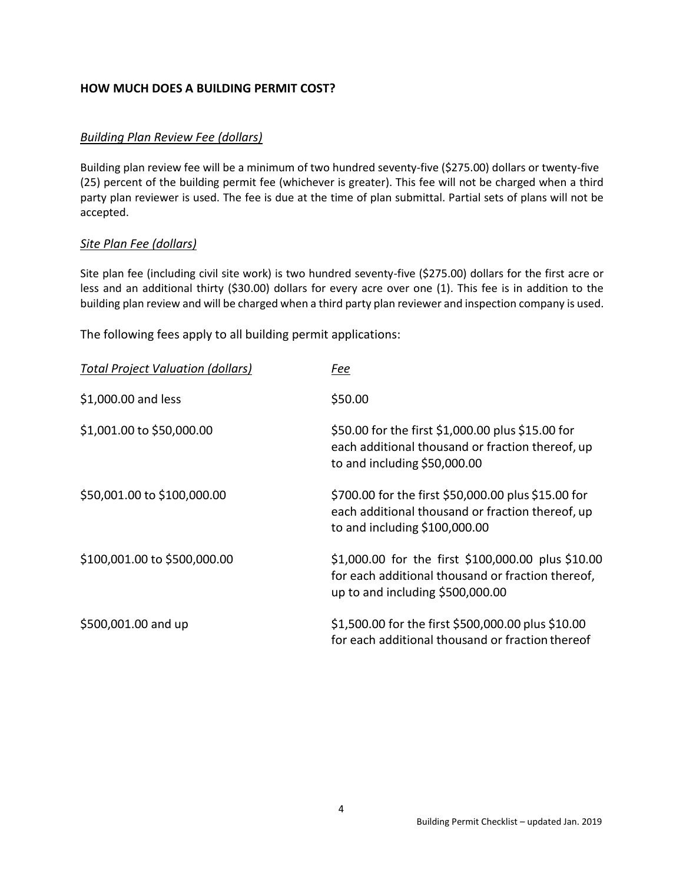## **HOW MUCH DOES A BUILDING PERMIT COST?**

## *Building Plan Review Fee (dollars)*

Building plan review fee will be a minimum of two hundred seventy-five (\$275.00) dollars or twenty-five (25) percent of the building permit fee (whichever is greater). This fee will not be charged when a third party plan reviewer is used. The fee is due at the time of plan submittal. Partial sets of plans will not be accepted.

## *Site Plan Fee (dollars)*

Site plan fee (including civil site work) is two hundred seventy-five (\$275.00) dollars for the first acre or less and an additional thirty (\$30.00) dollars for every acre over one (1). This fee is in addition to the building plan review and will be charged when a third party plan reviewer and inspection company is used.

The following fees apply to all building permit applications:

| <b>Total Project Valuation (dollars)</b> | Fee                                                                                                                                         |
|------------------------------------------|---------------------------------------------------------------------------------------------------------------------------------------------|
| \$1,000.00 and less                      | \$50.00                                                                                                                                     |
| \$1,001.00 to \$50,000.00                | \$50.00 for the first \$1,000.00 plus \$15.00 for<br>each additional thousand or fraction thereof, up<br>to and including \$50,000.00       |
| \$50,001.00 to \$100,000.00              | \$700.00 for the first \$50,000.00 plus \$15.00 for<br>each additional thousand or fraction thereof, up<br>to and including $$100,000.00$   |
| \$100,001.00 to \$500,000.00             | \$1,000.00 for the first \$100,000.00 plus \$10.00<br>for each additional thousand or fraction thereof,<br>up to and including \$500,000.00 |
| \$500,001.00 and up                      | \$1,500.00 for the first \$500,000.00 plus \$10.00<br>for each additional thousand or fraction thereof                                      |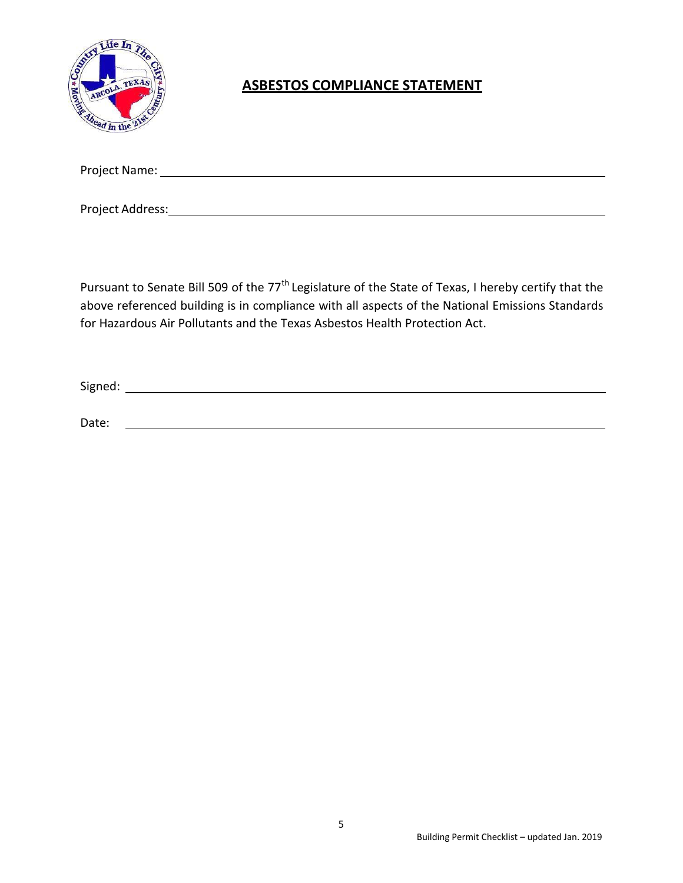

# **ASBESTOS COMPLIANCE STATEMENT**

| Project Name: _ |  |  |  |
|-----------------|--|--|--|
|                 |  |  |  |
|                 |  |  |  |

Project Address: No. 1996. The Contract of the Contract of the Contract of the Contract of the Contract of the Contract of the Contract of the Contract of the Contract of the Contract of the Contract of the Contract of the

Pursuant to Senate Bill 509 of the 77<sup>th</sup> Legislature of the State of Texas, I hereby certify that the above referenced building is in compliance with all aspects of the National Emissions Standards for Hazardous Air Pollutants and the Texas Asbestos Health Protection Act.

Signed: with the state of the state of the state of the state of the state of the state of the state of the state of the state of the state of the state of the state of the state of the state of the state of the state of t

Date: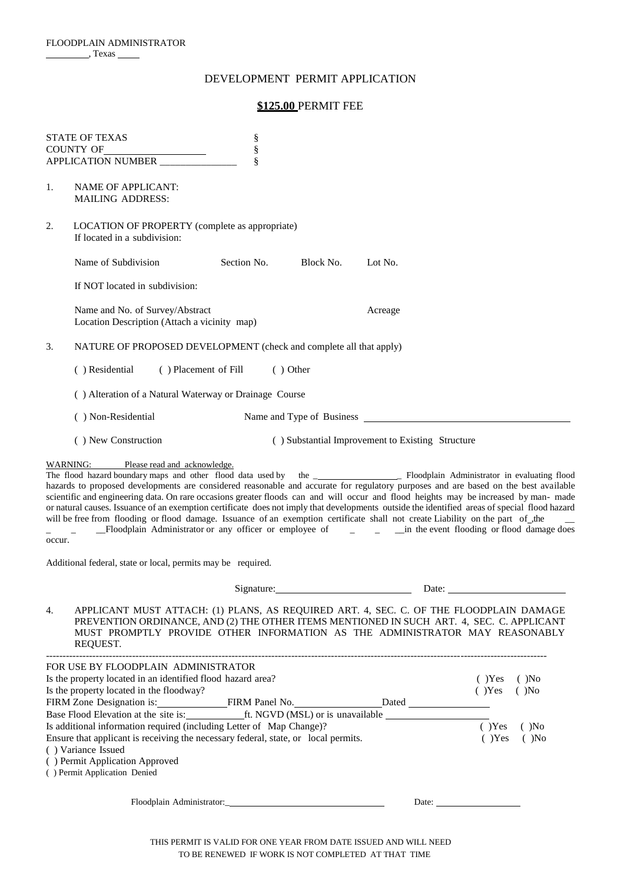## DEVELOPMENT PERMIT APPLICATION

## **\$125.00** PERMIT FEE

|        | <b>STATE OF TEXAS</b><br>COUNTY OF                                                                                                                                                                                                                                                                                                                                                                                                                                                                                                                                                                                                                                      | ş<br>ş               |            |                                                  |                                                          |                      |
|--------|-------------------------------------------------------------------------------------------------------------------------------------------------------------------------------------------------------------------------------------------------------------------------------------------------------------------------------------------------------------------------------------------------------------------------------------------------------------------------------------------------------------------------------------------------------------------------------------------------------------------------------------------------------------------------|----------------------|------------|--------------------------------------------------|----------------------------------------------------------|----------------------|
|        | APPLICATION NUMBER                                                                                                                                                                                                                                                                                                                                                                                                                                                                                                                                                                                                                                                      | ş                    |            |                                                  |                                                          |                      |
| 1.     | NAME OF APPLICANT:<br><b>MAILING ADDRESS:</b>                                                                                                                                                                                                                                                                                                                                                                                                                                                                                                                                                                                                                           |                      |            |                                                  |                                                          |                      |
| 2.     | LOCATION OF PROPERTY (complete as appropriate)<br>If located in a subdivision:                                                                                                                                                                                                                                                                                                                                                                                                                                                                                                                                                                                          |                      |            |                                                  |                                                          |                      |
|        | Name of Subdivision                                                                                                                                                                                                                                                                                                                                                                                                                                                                                                                                                                                                                                                     | Section No.          | Block No.  | Lot No.                                          |                                                          |                      |
|        | If NOT located in subdivision:                                                                                                                                                                                                                                                                                                                                                                                                                                                                                                                                                                                                                                          |                      |            |                                                  |                                                          |                      |
|        | Name and No. of Survey/Abstract<br>Location Description (Attach a vicinity map)                                                                                                                                                                                                                                                                                                                                                                                                                                                                                                                                                                                         |                      |            | Acreage                                          |                                                          |                      |
| 3.     | NATURE OF PROPOSED DEVELOPMENT (check and complete all that apply)                                                                                                                                                                                                                                                                                                                                                                                                                                                                                                                                                                                                      |                      |            |                                                  |                                                          |                      |
|        | () Residential                                                                                                                                                                                                                                                                                                                                                                                                                                                                                                                                                                                                                                                          | () Placement of Fill | $()$ Other |                                                  |                                                          |                      |
|        | () Alteration of a Natural Waterway or Drainage Course                                                                                                                                                                                                                                                                                                                                                                                                                                                                                                                                                                                                                  |                      |            |                                                  |                                                          |                      |
|        | () Non-Residential                                                                                                                                                                                                                                                                                                                                                                                                                                                                                                                                                                                                                                                      |                      |            |                                                  |                                                          |                      |
|        | () New Construction                                                                                                                                                                                                                                                                                                                                                                                                                                                                                                                                                                                                                                                     |                      |            | () Substantial Improvement to Existing Structure |                                                          |                      |
| occur. | hazards to proposed developments are considered reasonable and accurate for regulatory purposes and are based on the best available<br>scientific and engineering data. On rare occasions greater floods can and will occur and flood heights may be increased by man-made<br>or natural causes. Issuance of an exemption certificate does not imply that developments outside the identified areas of special flood hazard<br>will be free from flooding or flood damage. Issuance of an exemption certificate shall not create Liability on the part of the<br>-Floodplain Administrator or any officer or employee of - - in the event flooding or flood damage does |                      |            |                                                  |                                                          |                      |
|        | Additional federal, state or local, permits may be required.                                                                                                                                                                                                                                                                                                                                                                                                                                                                                                                                                                                                            |                      |            |                                                  |                                                          |                      |
|        |                                                                                                                                                                                                                                                                                                                                                                                                                                                                                                                                                                                                                                                                         |                      |            |                                                  | Date:                                                    |                      |
| 4.     | APPLICANT MUST ATTACH: (1) PLANS, AS REQUIRED ART. 4, SEC. C. OF THE FLOODPLAIN DAMAGE<br>PREVENTION ORDINANCE, AND (2) THE OTHER ITEMS MENTIONED IN SUCH ART. 4, SEC. C. APPLICANT<br>MUST PROMPTLY PROVIDE OTHER INFORMATION AS THE ADMINISTRATOR MAY REASONABLY<br>REQUEST.                                                                                                                                                                                                                                                                                                                                                                                          |                      |            |                                                  |                                                          |                      |
|        | FOR USE BY FLOODPLAIN ADMINISTRATOR                                                                                                                                                                                                                                                                                                                                                                                                                                                                                                                                                                                                                                     |                      |            |                                                  |                                                          |                      |
|        | Is the property located in an identified flood hazard area?<br>Is the property located in the floodway?                                                                                                                                                                                                                                                                                                                                                                                                                                                                                                                                                                 |                      |            |                                                  | $(Y)$ Yes<br>(Y)Yes ()No                                 | (No)                 |
|        | FIRM Zone Designation is: FIRM Panel No. Dated                                                                                                                                                                                                                                                                                                                                                                                                                                                                                                                                                                                                                          |                      |            |                                                  |                                                          |                      |
|        |                                                                                                                                                                                                                                                                                                                                                                                                                                                                                                                                                                                                                                                                         |                      |            |                                                  |                                                          |                      |
|        | Is additional information required (including Letter of Map Change)?<br>Ensure that applicant is receiving the necessary federal, state, or local permits.<br>() Variance Issued                                                                                                                                                                                                                                                                                                                                                                                                                                                                                        |                      |            |                                                  | $(Y)$ Yes<br>$(Y)$ Yes                                   | $( )$ No<br>$( )$ No |
|        | () Permit Application Approved<br>() Permit Application Denied                                                                                                                                                                                                                                                                                                                                                                                                                                                                                                                                                                                                          |                      |            |                                                  |                                                          |                      |
|        |                                                                                                                                                                                                                                                                                                                                                                                                                                                                                                                                                                                                                                                                         |                      |            |                                                  | Date: $\frac{1}{\sqrt{1-\frac{1}{2}} \cdot \frac{1}{2}}$ |                      |
|        |                                                                                                                                                                                                                                                                                                                                                                                                                                                                                                                                                                                                                                                                         |                      |            |                                                  |                                                          |                      |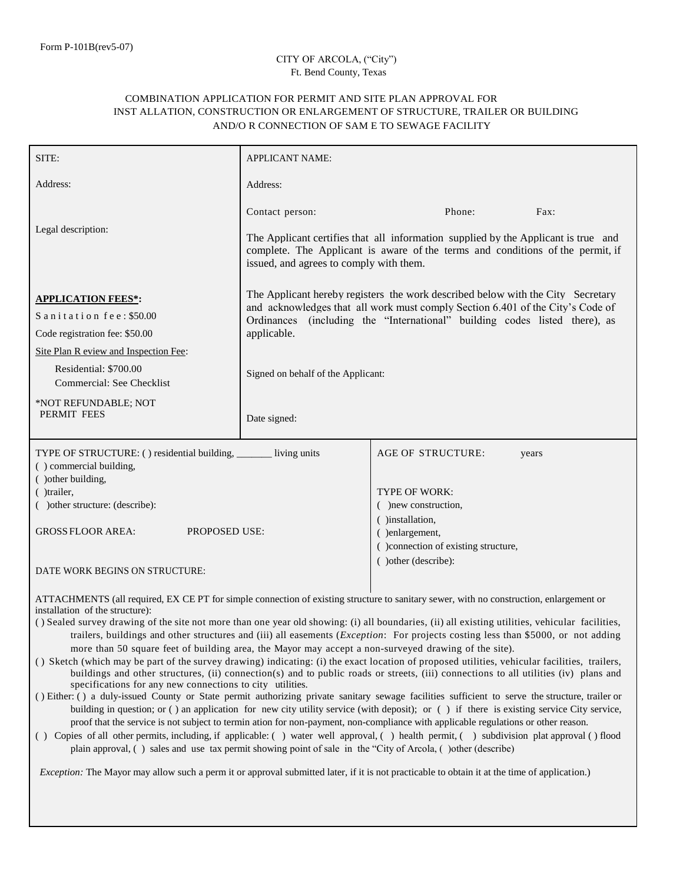#### CITY OF ARCOLA, ("City") Ft. Bend County, Texas

#### COMBINATION APPLICATION FOR PERMIT AND SITE PLAN APPROVAL FOR INST ALLATION, CONSTRUCTION OR ENLARGEMENT OF STRUCTURE, TRAILER OR BUILDING AND/O R CONNECTION OF SAM E TO SEWAGE FACILITY

| SITE:                                                                                                                                                                                                                                                                                                                                                                                                                                                                                                                                                                                                                                                                                                                                                                                                                                                                                                                                                                                                                                                                                                                                                                                                                                                                                                                                                                                                                                                                                                                                                                                                                                                                                                                                                                                                                         | <b>APPLICANT NAME:</b>                                                                                                                                                                                                                                                                                  |                                                                                                                                                                                   |  |  |
|-------------------------------------------------------------------------------------------------------------------------------------------------------------------------------------------------------------------------------------------------------------------------------------------------------------------------------------------------------------------------------------------------------------------------------------------------------------------------------------------------------------------------------------------------------------------------------------------------------------------------------------------------------------------------------------------------------------------------------------------------------------------------------------------------------------------------------------------------------------------------------------------------------------------------------------------------------------------------------------------------------------------------------------------------------------------------------------------------------------------------------------------------------------------------------------------------------------------------------------------------------------------------------------------------------------------------------------------------------------------------------------------------------------------------------------------------------------------------------------------------------------------------------------------------------------------------------------------------------------------------------------------------------------------------------------------------------------------------------------------------------------------------------------------------------------------------------|---------------------------------------------------------------------------------------------------------------------------------------------------------------------------------------------------------------------------------------------------------------------------------------------------------|-----------------------------------------------------------------------------------------------------------------------------------------------------------------------------------|--|--|
| Address:                                                                                                                                                                                                                                                                                                                                                                                                                                                                                                                                                                                                                                                                                                                                                                                                                                                                                                                                                                                                                                                                                                                                                                                                                                                                                                                                                                                                                                                                                                                                                                                                                                                                                                                                                                                                                      | Address:                                                                                                                                                                                                                                                                                                |                                                                                                                                                                                   |  |  |
| Legal description:                                                                                                                                                                                                                                                                                                                                                                                                                                                                                                                                                                                                                                                                                                                                                                                                                                                                                                                                                                                                                                                                                                                                                                                                                                                                                                                                                                                                                                                                                                                                                                                                                                                                                                                                                                                                            | Phone:<br>Contact person:<br>Fax:<br>The Applicant certifies that all information supplied by the Applicant is true and<br>complete. The Applicant is aware of the terms and conditions of the permit, if<br>issued, and agrees to comply with them.                                                    |                                                                                                                                                                                   |  |  |
| <b>APPLICATION FEES*:</b><br>Sanitation fee: \$50.00<br>Code registration fee: \$50.00<br>Site Plan R eview and Inspection Fee:<br>Residential: \$700.00<br>Commercial: See Checklist<br>*NOT REFUNDABLE; NOT                                                                                                                                                                                                                                                                                                                                                                                                                                                                                                                                                                                                                                                                                                                                                                                                                                                                                                                                                                                                                                                                                                                                                                                                                                                                                                                                                                                                                                                                                                                                                                                                                 | The Applicant hereby registers the work described below with the City Secretary<br>and acknowledges that all work must comply Section 6.401 of the City's Code of<br>(including the "International" building codes listed there), as<br>Ordinances<br>applicable.<br>Signed on behalf of the Applicant: |                                                                                                                                                                                   |  |  |
| <b>PERMIT FEES</b>                                                                                                                                                                                                                                                                                                                                                                                                                                                                                                                                                                                                                                                                                                                                                                                                                                                                                                                                                                                                                                                                                                                                                                                                                                                                                                                                                                                                                                                                                                                                                                                                                                                                                                                                                                                                            | Date signed:                                                                                                                                                                                                                                                                                            |                                                                                                                                                                                   |  |  |
| TYPE OF STRUCTURE: ( ) residential building, _______ living units<br>() commercial building,<br>() other building,<br>()trailer,<br>( )other structure: (describe):<br><b>GROSS FLOOR AREA:</b><br><b>PROPOSED USE:</b>                                                                                                                                                                                                                                                                                                                                                                                                                                                                                                                                                                                                                                                                                                                                                                                                                                                                                                                                                                                                                                                                                                                                                                                                                                                                                                                                                                                                                                                                                                                                                                                                       |                                                                                                                                                                                                                                                                                                         | <b>AGE OF STRUCTURE:</b><br>years<br>TYPE OF WORK:<br>( ) new construction,<br>()installation,<br>()enlargement,<br>( ) connection of existing structure,<br>() other (describe): |  |  |
| DATE WORK BEGINS ON STRUCTURE:<br>ATTACHMENTS (all required, EX CE PT for simple connection of existing structure to sanitary sewer, with no construction, enlargement or<br>installation of the structure):<br>() Sealed survey drawing of the site not more than one year old showing: (i) all boundaries, (ii) all existing utilities, vehicular facilities,<br>trailers, buildings and other structures and (iii) all easements (Exception: For projects costing less than \$5000, or not adding<br>more than 50 square feet of building area, the Mayor may accept a non-surveyed drawing of the site).<br>() Sketch (which may be part of the survey drawing) indicating: (i) the exact location of proposed utilities, vehicular facilities, trailers,<br>buildings and other structures, (ii) connection(s) and to public roads or streets, (iii) connections to all utilities (iv) plans and<br>specifications for any new connections to city utilities.<br>() Either: () a duly-issued County or State permit authorizing private sanitary sewage facilities sufficient to serve the structure, trailer or<br>building in question; or () an application for new city utility service (with deposit); or () if there is existing service City service,<br>proof that the service is not subject to termin ation for non-payment, non-compliance with applicable regulations or other reason.<br>() Copies of all other permits, including, if applicable: () water well approval, () health permit, () subdivision plat approval () flood<br>plain approval, () sales and use tax permit showing point of sale in the "City of Arcola, () other (describe)<br><i>Exception:</i> The Mayor may allow such a perm it or approval submitted later, if it is not practicable to obtain it at the time of application.) |                                                                                                                                                                                                                                                                                                         |                                                                                                                                                                                   |  |  |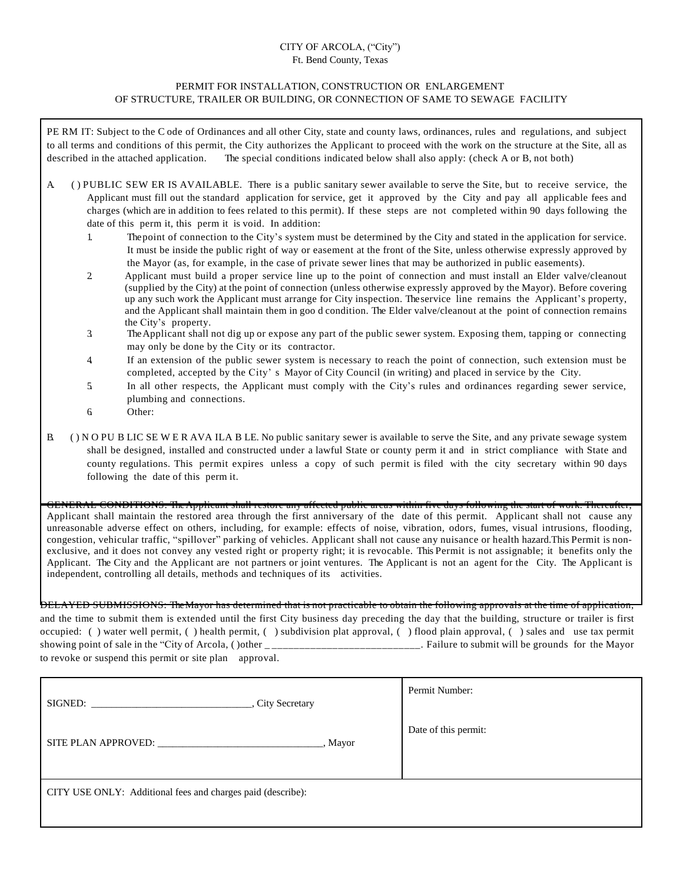#### CITY OF ARCOLA, ("City") Ft. Bend County, Texas

#### PERMIT FOR INSTALLATION, CONSTRUCTION OR ENLARGEMENT OF STRUCTURE, TRAILER OR BUILDING, OR CONNECTION OF SAME TO SEWAGE FACILITY

PE RM IT: Subject to the C ode of Ordinances and all other City, state and county laws, ordinances, rules and regulations, and subject to all terms and conditions of this permit, the City authorizes the Applicant to proceed with the work on the structure at the Site, all as described in the attached application. The special conditions indicated below shall also apply: (check A or B, not both)

- A. ( ) PUBLIC SEW ER IS AVAILABLE. There is a public sanitary sewer available to serve the Site, but to receive service, the Applicant must fill out the standard application for service, get it approved by the City and pay all applicable fees and charges (which are in addition to fees related to this permit). If these steps are not completed within 90 days following the date of this perm it, this perm it is void. In addition:
	- 1. The point of connection to the City's system must be determined by the City and stated in the application for service. It must be inside the public right of way or easement at the front of the Site, unless otherwise expressly approved by the Mayor (as, for example, in the case of private sewer lines that may be authorized in public easements).
	- 2. Applicant must build a proper service line up to the point of connection and must install an Elder valve/cleanout (supplied by the City) at the point of connection (unless otherwise expressly approved by the Mayor). Before covering up any such work the Applicant must arrange for City inspection. The service line remains the Applicant's property, and the Applicant shall maintain them in goo d condition. The Elder valve/cleanout at the point of connection remains the City's property.
	- 3. The Applicant shall not dig up or expose any part of the public sewer system. Exposing them, tapping or connecting may only be done by the City or its contractor.
	- 4. If an extension of the public sewer system is necessary to reach the point of connection, such extension must be completed, accepted by the City' s Mayor of City Council (in writing) and placed in service by the City.
	- 5. In all other respects, the Applicant must comply with the City's rules and ordinances regarding sewer service, plumbing and connections.
	- 6. Other:
- B. ( ) N O PU B LIC SE W E R AVA ILA B LE. No public sanitary sewer is available to serve the Site, and any private sewage system shall be designed, installed and constructed under a lawful State or county perm it and in strict compliance with State and county regulations. This permit expires unless a copy of such permit is filed with the city secretary within 90 days following the date of this perm it.

GENERAL CONDITIONS: The Applicant shall restore any affected public areas within five days following the sta Applicant shall maintain the restored area through the first anniversary of the date of this permit. Applicant shall not cause any unreasonable adverse effect on others, including, for example: effects of noise, vibration, odors, fumes, visual intrusions, flooding, congestion, vehicular traffic, "spillover" parking of vehicles. Applicant shall not cause any nuisance or health hazard.This Permit is nonexclusive, and it does not convey any vested right or property right; it is revocable. This Permit is not assignable; it benefits only the Applicant. The City and the Applicant are not partners or joint ventures. The Applicant is not an agent for the City. The Applicant is independent, controlling all details, methods and techniques of its activities.

DELAYED SUBMISSIONS: The Mayor has determined that is not practicable to obtain the following approvals at the time of application, and the time to submit them is extended until the first City business day preceding the day that the building, structure or trailer is first occupied: ( ) water well permit, ( ) health permit, ( ) subdivision plat approval, ( ) flood plain approval, ( ) sales and use tax permit showing point of sale in the "City of Arcola, ()other \_\_\_\_\_\_\_\_\_\_\_\_\_\_\_\_\_\_\_\_\_\_\_\_\_\_. Failure to submit will be grounds for the Mayor to revoke or suspend this permit or site plan approval.

| SIGNED:<br>, City Secretary                                 | Permit Number:       |
|-------------------------------------------------------------|----------------------|
| SITE PLAN APPROVED:<br>, Mayor                              | Date of this permit: |
| CITY USE ONLY: Additional fees and charges paid (describe): |                      |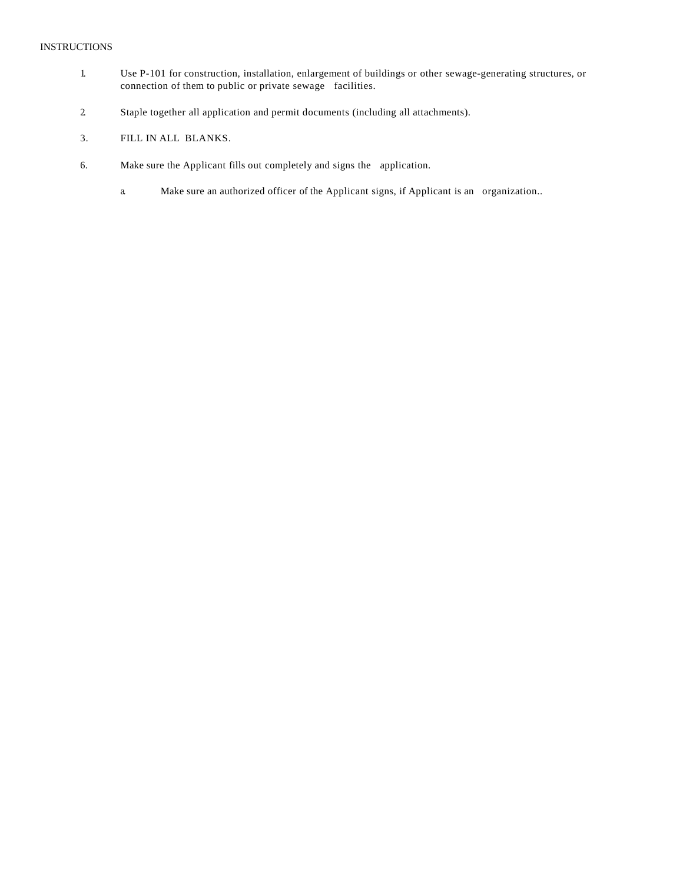#### INSTRUCTIONS

- 1. Use P-101 for construction, installation, enlargement of buildings or other sewage-generating structures, or connection of them to public or private sewage facilities.
- 2. Staple together all application and permit documents (including all attachments).
- 3. FILL IN ALL BLANKS.
- 6. Make sure the Applicant fills out completely and signs the application.
	- a. Make sure an authorized officer of the Applicant signs, if Applicant is an organization..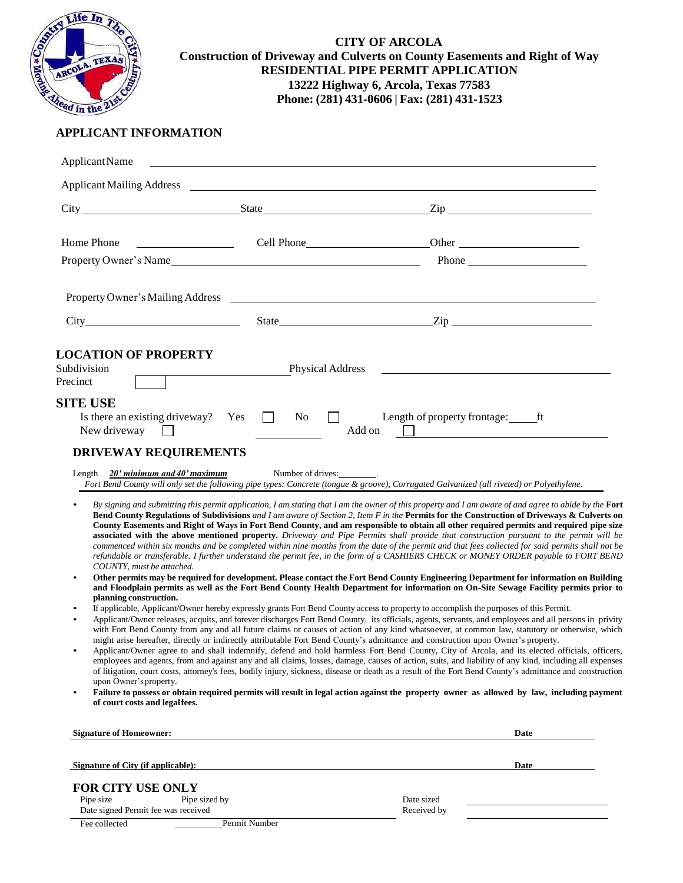

## **CITY OF ARCOLA Construction of Driveway and Culverts on County Easements and Right of Way RESIDENTIAL PIPE PERMIT APPLICATION 13222 Highway 6, Arcola, Texas 77583 Phone: (281) 431-0606 | Fax: (281) 431-1523**

## **APPLICANT INFORMATION**

| Applicant Name                                                                                                                                                                                                                                           |                                                                                                                                                                                                                                                                                                                                                                                                                                             |                                                                                                                                                                                                                                                                                                                                                                                                                                                                                                                                                                                                                                                                                                                                                                                                                                                                                                                                                                                                                                                                                                                                                                                                                                                                                                                                                                                                                                                                                                                                                                                                                                                                                                                                                                                                                                                                                                                                                                                                                                                                                                    |
|----------------------------------------------------------------------------------------------------------------------------------------------------------------------------------------------------------------------------------------------------------|---------------------------------------------------------------------------------------------------------------------------------------------------------------------------------------------------------------------------------------------------------------------------------------------------------------------------------------------------------------------------------------------------------------------------------------------|----------------------------------------------------------------------------------------------------------------------------------------------------------------------------------------------------------------------------------------------------------------------------------------------------------------------------------------------------------------------------------------------------------------------------------------------------------------------------------------------------------------------------------------------------------------------------------------------------------------------------------------------------------------------------------------------------------------------------------------------------------------------------------------------------------------------------------------------------------------------------------------------------------------------------------------------------------------------------------------------------------------------------------------------------------------------------------------------------------------------------------------------------------------------------------------------------------------------------------------------------------------------------------------------------------------------------------------------------------------------------------------------------------------------------------------------------------------------------------------------------------------------------------------------------------------------------------------------------------------------------------------------------------------------------------------------------------------------------------------------------------------------------------------------------------------------------------------------------------------------------------------------------------------------------------------------------------------------------------------------------------------------------------------------------------------------------------------------------|
| Applicant Mailing Address 2012 2022 2022 2023 2024 2022 2023 2024 2022 2023 2024 2022 2023 2024 2022 2023 2024                                                                                                                                           |                                                                                                                                                                                                                                                                                                                                                                                                                                             |                                                                                                                                                                                                                                                                                                                                                                                                                                                                                                                                                                                                                                                                                                                                                                                                                                                                                                                                                                                                                                                                                                                                                                                                                                                                                                                                                                                                                                                                                                                                                                                                                                                                                                                                                                                                                                                                                                                                                                                                                                                                                                    |
|                                                                                                                                                                                                                                                          |                                                                                                                                                                                                                                                                                                                                                                                                                                             | $\chi$ ip                                                                                                                                                                                                                                                                                                                                                                                                                                                                                                                                                                                                                                                                                                                                                                                                                                                                                                                                                                                                                                                                                                                                                                                                                                                                                                                                                                                                                                                                                                                                                                                                                                                                                                                                                                                                                                                                                                                                                                                                                                                                                          |
| Home Phone<br>Property Owner's Name                                                                                                                                                                                                                      |                                                                                                                                                                                                                                                                                                                                                                                                                                             |                                                                                                                                                                                                                                                                                                                                                                                                                                                                                                                                                                                                                                                                                                                                                                                                                                                                                                                                                                                                                                                                                                                                                                                                                                                                                                                                                                                                                                                                                                                                                                                                                                                                                                                                                                                                                                                                                                                                                                                                                                                                                                    |
| Property Owner's Mailing Address <u>example and the set of the set of the set of the set of the set of the set of the set of the set of the set of the set of the set of the set of the set of the set of the set of the set of </u>                     |                                                                                                                                                                                                                                                                                                                                                                                                                                             |                                                                                                                                                                                                                                                                                                                                                                                                                                                                                                                                                                                                                                                                                                                                                                                                                                                                                                                                                                                                                                                                                                                                                                                                                                                                                                                                                                                                                                                                                                                                                                                                                                                                                                                                                                                                                                                                                                                                                                                                                                                                                                    |
| $City$ and $(x)$ and $(x)$ and $(x)$ and $(x)$ and $(x)$ and $(x)$ and $(x)$ and $(x)$ and $(x)$ and $(x)$ and $(x)$ and $(x)$ and $(x)$ and $(x)$ and $(x)$ and $(x)$ and $(x)$ and $(x)$ and $(x)$ and $(x)$ and $(x)$ and $(x)$ and $(x)$ and $(x)$ a |                                                                                                                                                                                                                                                                                                                                                                                                                                             |                                                                                                                                                                                                                                                                                                                                                                                                                                                                                                                                                                                                                                                                                                                                                                                                                                                                                                                                                                                                                                                                                                                                                                                                                                                                                                                                                                                                                                                                                                                                                                                                                                                                                                                                                                                                                                                                                                                                                                                                                                                                                                    |
| <b>LOCATION OF PROPERTY</b><br>Subdivision<br>Precinct                                                                                                                                                                                                   | <b>Physical Address</b>                                                                                                                                                                                                                                                                                                                                                                                                                     |                                                                                                                                                                                                                                                                                                                                                                                                                                                                                                                                                                                                                                                                                                                                                                                                                                                                                                                                                                                                                                                                                                                                                                                                                                                                                                                                                                                                                                                                                                                                                                                                                                                                                                                                                                                                                                                                                                                                                                                                                                                                                                    |
| <b>SITE USE</b><br>Is there an existing driveway? Yes<br>New driveway                                                                                                                                                                                    | $\Box$<br>N <sub>0</sub><br>Add on                                                                                                                                                                                                                                                                                                                                                                                                          | Length of property frontage: _________ ft<br><u> La Carlo Carlo Carlo Carlo Carlo Carlo Carlo Carlo Carlo Carlo Carlo Carlo Carlo Carlo Carlo Carlo Carlo Car</u>                                                                                                                                                                                                                                                                                                                                                                                                                                                                                                                                                                                                                                                                                                                                                                                                                                                                                                                                                                                                                                                                                                                                                                                                                                                                                                                                                                                                                                                                                                                                                                                                                                                                                                                                                                                                                                                                                                                                  |
| Length $20'$ minimum and 40' maximum<br>COUNTY, must be attached.<br>planning construction.<br>upon Owner's property.<br>of court costs and legalfees.                                                                                                   | Number of drives:<br>Fort Bend County will only set the following pipe types: Concrete (tongue & groove), Corrugated Galvanized (all riveted) or Polyethylene.<br>If applicable, Applicant/Owner hereby expressly grants Fort Bend County access to property to accomplish the purposes of this Permit.<br>might arise hereafter, directly or indirectly attributable Fort Bend County's admittance and construction upon Owner's property. | By signing and submitting this permit application, I am stating that I am the owner of this property and I am aware of and agree to abide by the Fort<br>Bend County Regulations of Subdivisions and I am aware of Section 2, Item F in the Permits for the Construction of Driveways & Culverts on<br>County Easements and Right of Ways in Fort Bend County, and am responsible to obtain all other required permits and required pipe size<br>associated with the above mentioned property. Driveway and Pipe Permits shall provide that construction pursuant to the permit will be<br>commenced within six months and be completed within nine months from the date of the permit and that fees collected for said permits shall not be<br>refundable or transferable. I further understand the permit fee, in the form of a CASHIERS CHECK or MONEY ORDER payable to FORT BEND<br>Other permits may be required for development. Please contact the Fort Bend County Engineering Department for information on Building<br>and Floodplain permits as well as the Fort Bend County Health Department for information on On-Site Sewage Facility permits prior to<br>Applicant/Owner releases, acquits, and forever discharges Fort Bend County, its officials, agents, servants, and employees and all persons in privity<br>with Fort Bend County from any and all future claims or causes of action of any kind whatsoever, at common law, statutory or otherwise, which<br>Applicant/Owner agree to and shall indemnify, defend and hold harmless Fort Bend County, City of Arcola, and its elected officials, officers,<br>employees and agents, from and against any and all claims, losses, damage, causes of action, suits, and liability of any kind, including all expenses<br>of litigation, court costs, attorney's fees, bodily injury, sickness, disease or death as a result of the Fort Bend County's admittance and construction<br>Failure to possess or obtain required permits will result in legal action against the property owner as allowed by law, including payment |
| <b>Signature of Homeowner:</b>                                                                                                                                                                                                                           |                                                                                                                                                                                                                                                                                                                                                                                                                                             | Date                                                                                                                                                                                                                                                                                                                                                                                                                                                                                                                                                                                                                                                                                                                                                                                                                                                                                                                                                                                                                                                                                                                                                                                                                                                                                                                                                                                                                                                                                                                                                                                                                                                                                                                                                                                                                                                                                                                                                                                                                                                                                               |
| Signature of City (if applicable):<br>FOR CITY USE ONLY                                                                                                                                                                                                  |                                                                                                                                                                                                                                                                                                                                                                                                                                             | <b>Date</b> and <b>Date</b>                                                                                                                                                                                                                                                                                                                                                                                                                                                                                                                                                                                                                                                                                                                                                                                                                                                                                                                                                                                                                                                                                                                                                                                                                                                                                                                                                                                                                                                                                                                                                                                                                                                                                                                                                                                                                                                                                                                                                                                                                                                                        |

Pipe size Pipe sized by Date sized by Date sized Pipe sized by Date sized and Date sized B Date signed Permit fee was received **Received** By

Fee collected Permit Number